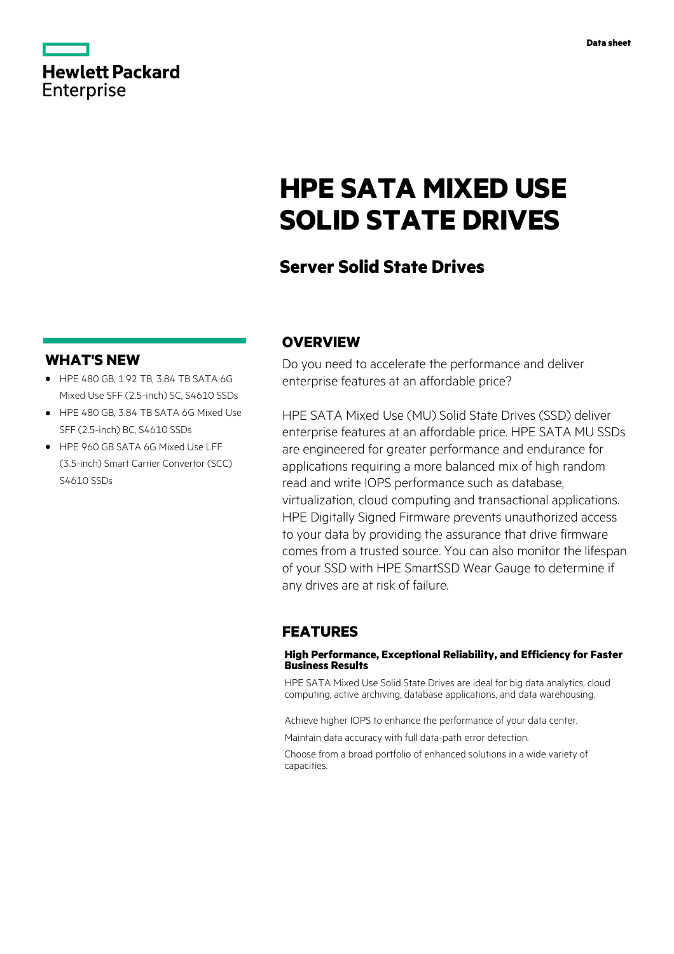|                   | <b>Hewlett Packard</b> |
|-------------------|------------------------|
| <b>Enterprise</b> |                        |

# **HPE SATA MIXED USE SOLID STATE DRIVES**

# **Server Solid State Drives**

### **WHAT'S NEW**

- **·** HPE 480 GB, 1.92 TB, 3.84 TB SATA 6G Mixed Use SFF (2.5-inch) SC, S4610 SSDs
- **·** HPE 480 GB, 3.84 TB SATA 6G Mixed Use SFF (2.5-inch) BC, S4610 SSDs
- **·** HPE 960 GB SATA 6G Mixed Use LFF (3.5-inch) Smart Carrier Convertor (SCC) S4610 SSDs

### **OVERVIEW**

Do you need to accelerate the performance and deliver enterprise features at an affordable price?

HPE SATA Mixed Use (MU) Solid State Drives (SSD) deliver enterprise features at an affordable price. HPE SATA MU SSDs are engineered for greater performance and endurance for applications requiring a more balanced mix of high random read and write IOPS performance such as database, virtualization, cloud computing and transactional applications. HPE Digitally Signed Firmware prevents unauthorized access to your data by providing the assurance that drive firmware comes from a trusted source. You can also monitor the lifespan of your SSD with HPE SmartSSD Wear Gauge to determine if any drives are at risk of failure.

### **FEATURES**

### **High Performance, Exceptional Reliability, and Efficiency for Faster Business Results**

HPE SATA Mixed Use Solid State Drives are ideal for big data analytics, cloud computing, active archiving, database applications, and data warehousing.

Achieve higher IOPS to enhance the performance of your data center.

Maintain data accuracy with full data-path error detection.

Choose from a broad portfolio of enhanced solutions in a wide variety of capacities.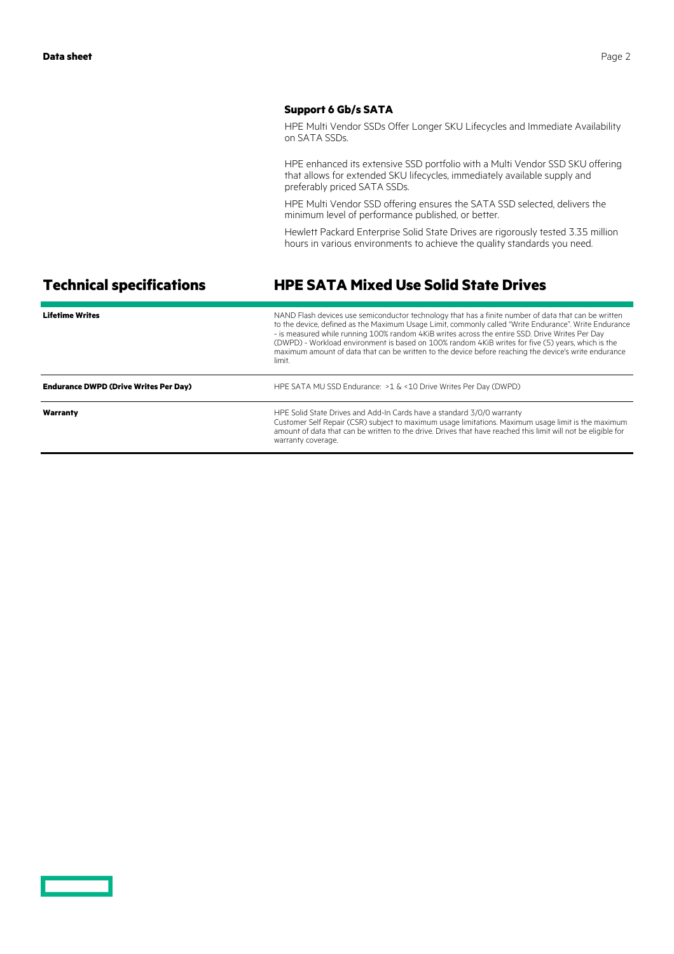### **Support 6 Gb/s SATA**

HPE Multi Vendor SSDs Offer Longer SKU Lifecycles and Immediate Availability on SATA SSDs.

HPE enhanced its extensive SSD portfolio with a Multi Vendor SSD SKU offering that allows for extended SKU lifecycles, immediately available supply and preferably priced SATA SSDs.

HPE Multi Vendor SSD offering ensures the SATA SSD selected, delivers the minimum level of performance published, or better.

Hewlett Packard Enterprise Solid State Drives are rigorously tested 3.35 million hours in various environments to achieve the quality standards you need.

# **Technical specifications HPE SATA Mixed Use Solid State Drives**

| <b>Lifetime Writes</b>                       | NAND Flash devices use semiconductor technology that has a finite number of data that can be written<br>to the device, defined as the Maximum Usage Limit, commonly called "Write Endurance". Write Endurance<br>- is measured while running 100% random 4KiB writes across the entire SSD. Drive Writes Per Day<br>(DWPD) - Workload environment is based on 100% random 4KiB writes for five (5) years, which is the<br>maximum amount of data that can be written to the device before reaching the device's write endurance<br>limit. |
|----------------------------------------------|-------------------------------------------------------------------------------------------------------------------------------------------------------------------------------------------------------------------------------------------------------------------------------------------------------------------------------------------------------------------------------------------------------------------------------------------------------------------------------------------------------------------------------------------|
| <b>Endurance DWPD (Drive Writes Per Day)</b> | HPE SATA MU SSD Endurance: > 1 & < 10 Drive Writes Per Day (DWPD)                                                                                                                                                                                                                                                                                                                                                                                                                                                                         |
| Warranty                                     | HPE Solid State Drives and Add-In Cards have a standard 3/0/0 warranty<br>Customer Self Repair (CSR) subject to maximum usage limitations. Maximum usage limit is the maximum<br>amount of data that can be written to the drive. Drives that have reached this limit will not be eligible for<br>warranty coverage.                                                                                                                                                                                                                      |